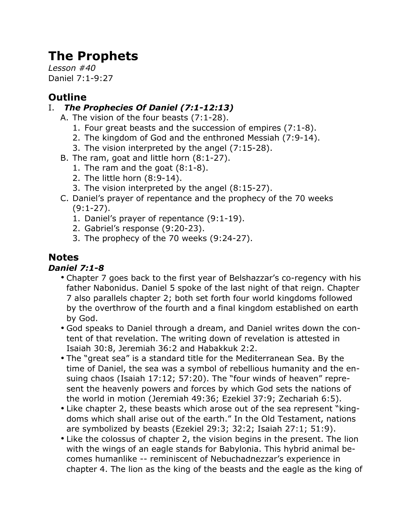# **The Prophets**

*Lesson #40* Daniel 7:1-9:27

# **Outline**

# I. *The Prophecies Of Daniel (7:1-12:13)*

- A. The vision of the four beasts (7:1-28).
	- 1. Four great beasts and the succession of empires (7:1-8).
	- 2. The kingdom of God and the enthroned Messiah (7:9-14).
	- 3. The vision interpreted by the angel (7:15-28).
- B. The ram, goat and little horn (8:1-27).
	- 1. The ram and the goat (8:1-8).
	- 2. The little horn (8:9-14).
	- 3. The vision interpreted by the angel (8:15-27).
- C. Daniel's prayer of repentance and the prophecy of the 70 weeks (9:1-27).
	- 1. Daniel's prayer of repentance (9:1-19).
	- 2. Gabriel's response (9:20-23).
	- 3. The prophecy of the 70 weeks (9:24-27).

# **Notes**

# *Daniel 7:1-8*

- Chapter 7 goes back to the first year of Belshazzar's co-regency with his father Nabonidus. Daniel 5 spoke of the last night of that reign. Chapter 7 also parallels chapter 2; both set forth four world kingdoms followed by the overthrow of the fourth and a final kingdom established on earth by God.
- God speaks to Daniel through a dream, and Daniel writes down the content of that revelation. The writing down of revelation is attested in Isaiah 30:8, Jeremiah 36:2 and Habakkuk 2:2.
- The "great sea" is a standard title for the Mediterranean Sea. By the time of Daniel, the sea was a symbol of rebellious humanity and the ensuing chaos (Isaiah 17:12; 57:20). The "four winds of heaven" represent the heavenly powers and forces by which God sets the nations of the world in motion (Jeremiah 49:36; Ezekiel 37:9; Zechariah 6:5).
- Like chapter 2, these beasts which arose out of the sea represent "kingdoms which shall arise out of the earth." In the Old Testament, nations are symbolized by beasts (Ezekiel 29:3; 32:2; Isaiah 27:1; 51:9).
- Like the colossus of chapter 2, the vision begins in the present. The lion with the wings of an eagle stands for Babylonia. This hybrid animal becomes humanlike -- reminiscent of Nebuchadnezzar's experience in chapter 4. The lion as the king of the beasts and the eagle as the king of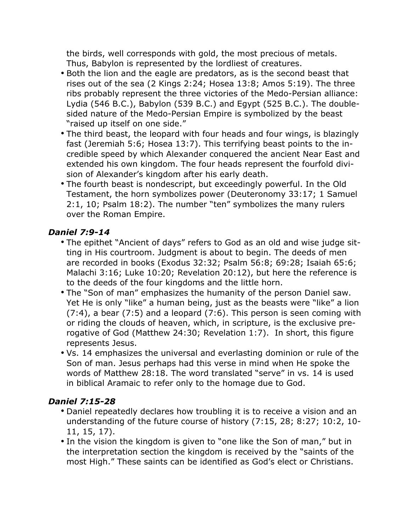the birds, well corresponds with gold, the most precious of metals. Thus, Babylon is represented by the lordliest of creatures.

- Both the lion and the eagle are predators, as is the second beast that rises out of the sea (2 Kings 2:24; Hosea 13:8; Amos 5:19). The three ribs probably represent the three victories of the Medo-Persian alliance: Lydia (546 B.C.), Babylon (539 B.C.) and Egypt (525 B.C.). The doublesided nature of the Medo-Persian Empire is symbolized by the beast "raised up itself on one side."
- The third beast, the leopard with four heads and four wings, is blazingly fast (Jeremiah 5:6; Hosea 13:7). This terrifying beast points to the incredible speed by which Alexander conquered the ancient Near East and extended his own kingdom. The four heads represent the fourfold division of Alexander's kingdom after his early death.
- The fourth beast is nondescript, but exceedingly powerful. In the Old Testament, the horn symbolizes power (Deuteronomy 33:17; 1 Samuel 2:1, 10; Psalm 18:2). The number "ten" symbolizes the many rulers over the Roman Empire.

## *Daniel 7:9-14*

- The epithet "Ancient of days" refers to God as an old and wise judge sitting in His courtroom. Judgment is about to begin. The deeds of men are recorded in books (Exodus 32:32; Psalm 56:8; 69:28; Isaiah 65:6; Malachi 3:16; Luke 10:20; Revelation 20:12), but here the reference is to the deeds of the four kingdoms and the little horn.
- The "Son of man" emphasizes the humanity of the person Daniel saw. Yet He is only "like" a human being, just as the beasts were "like" a lion (7:4), a bear (7:5) and a leopard (7:6). This person is seen coming with or riding the clouds of heaven, which, in scripture, is the exclusive prerogative of God (Matthew 24:30; Revelation 1:7). In short, this figure represents Jesus.
- Vs. 14 emphasizes the universal and everlasting dominion or rule of the Son of man. Jesus perhaps had this verse in mind when He spoke the words of Matthew 28:18. The word translated "serve" in vs. 14 is used in biblical Aramaic to refer only to the homage due to God.

# *Daniel 7:15-28*

- Daniel repeatedly declares how troubling it is to receive a vision and an understanding of the future course of history (7:15, 28; 8:27; 10:2, 10- 11, 15, 17).
- In the vision the kingdom is given to "one like the Son of man," but in the interpretation section the kingdom is received by the "saints of the most High." These saints can be identified as God's elect or Christians.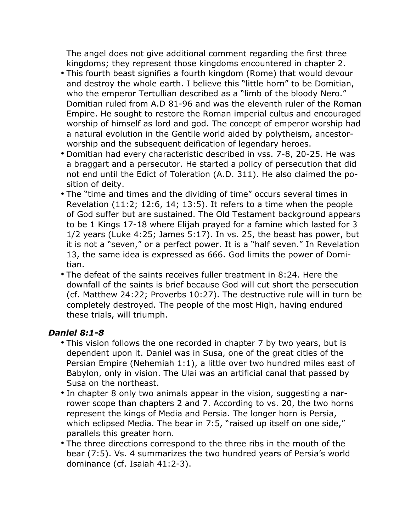The angel does not give additional comment regarding the first three kingdoms; they represent those kingdoms encountered in chapter 2.

- This fourth beast signifies a fourth kingdom (Rome) that would devour and destroy the whole earth. I believe this "little horn" to be Domitian, who the emperor Tertullian described as a "limb of the bloody Nero." Domitian ruled from A.D 81-96 and was the eleventh ruler of the Roman Empire. He sought to restore the Roman imperial cultus and encouraged worship of himself as lord and god. The concept of emperor worship had a natural evolution in the Gentile world aided by polytheism, ancestorworship and the subsequent deification of legendary heroes.
- Domitian had every characteristic described in vss. 7-8, 20-25. He was a braggart and a persecutor. He started a policy of persecution that did not end until the Edict of Toleration (A.D. 311). He also claimed the position of deity.
- The "time and times and the dividing of time" occurs several times in Revelation (11:2; 12:6, 14; 13:5). It refers to a time when the people of God suffer but are sustained. The Old Testament background appears to be 1 Kings 17-18 where Elijah prayed for a famine which lasted for 3 1/2 years (Luke 4:25; James 5:17). In vs. 25, the beast has power, but it is not a "seven," or a perfect power. It is a "half seven." In Revelation 13, the same idea is expressed as 666. God limits the power of Domitian.
- The defeat of the saints receives fuller treatment in 8:24. Here the downfall of the saints is brief because God will cut short the persecution (cf. Matthew 24:22; Proverbs 10:27). The destructive rule will in turn be completely destroyed. The people of the most High, having endured these trials, will triumph.

#### *Daniel 8:1-8*

- This vision follows the one recorded in chapter 7 by two years, but is dependent upon it. Daniel was in Susa, one of the great cities of the Persian Empire (Nehemiah 1:1), a little over two hundred miles east of Babylon, only in vision. The Ulai was an artificial canal that passed by Susa on the northeast.
- In chapter 8 only two animals appear in the vision, suggesting a narrower scope than chapters 2 and 7. According to vs. 20, the two horns represent the kings of Media and Persia. The longer horn is Persia, which eclipsed Media. The bear in 7:5, "raised up itself on one side," parallels this greater horn.
- The three directions correspond to the three ribs in the mouth of the bear (7:5). Vs. 4 summarizes the two hundred years of Persia's world dominance (cf. Isaiah 41:2-3).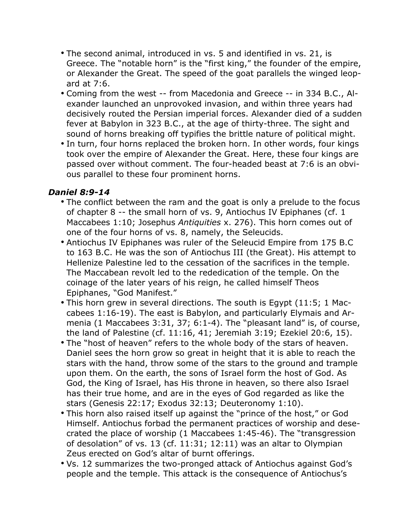- The second animal, introduced in vs. 5 and identified in vs. 21, is Greece. The "notable horn" is the "first king," the founder of the empire, or Alexander the Great. The speed of the goat parallels the winged leopard at 7:6.
- Coming from the west -- from Macedonia and Greece -- in 334 B.C., Alexander launched an unprovoked invasion, and within three years had decisively routed the Persian imperial forces. Alexander died of a sudden fever at Babylon in 323 B.C., at the age of thirty-three. The sight and sound of horns breaking off typifies the brittle nature of political might.
- In turn, four horns replaced the broken horn. In other words, four kings took over the empire of Alexander the Great. Here, these four kings are passed over without comment. The four-headed beast at 7:6 is an obvious parallel to these four prominent horns.

#### *Daniel 8:9-14*

- The conflict between the ram and the goat is only a prelude to the focus of chapter 8 -- the small horn of vs. 9, Antiochus IV Epiphanes (cf. 1 Maccabees 1:10; Josephus *Antiquities* x. 276). This horn comes out of one of the four horns of vs. 8, namely, the Seleucids.
- Antiochus IV Epiphanes was ruler of the Seleucid Empire from 175 B.C to 163 B.C. He was the son of Antiochus III (the Great). His attempt to Hellenize Palestine led to the cessation of the sacrifices in the temple. The Maccabean revolt led to the rededication of the temple. On the coinage of the later years of his reign, he called himself Theos Epiphanes, "God Manifest."
- This horn grew in several directions. The south is Egypt (11:5; 1 Maccabees 1:16-19). The east is Babylon, and particularly Elymais and Armenia (1 Maccabees 3:31, 37; 6:1-4). The "pleasant land" is, of course, the land of Palestine (cf. 11:16, 41; Jeremiah 3:19; Ezekiel 20:6, 15).
- The "host of heaven" refers to the whole body of the stars of heaven. Daniel sees the horn grow so great in height that it is able to reach the stars with the hand, throw some of the stars to the ground and trample upon them. On the earth, the sons of Israel form the host of God. As God, the King of Israel, has His throne in heaven, so there also Israel has their true home, and are in the eyes of God regarded as like the stars (Genesis 22:17; Exodus 32:13; Deuteronomy 1:10).
- This horn also raised itself up against the "prince of the host," or God Himself. Antiochus forbad the permanent practices of worship and desecrated the place of worship (1 Maccabees 1:45-46). The "transgression of desolation" of vs. 13 (cf. 11:31; 12:11) was an altar to Olympian Zeus erected on God's altar of burnt offerings.
- Vs. 12 summarizes the two-pronged attack of Antiochus against God's people and the temple. This attack is the consequence of Antiochus's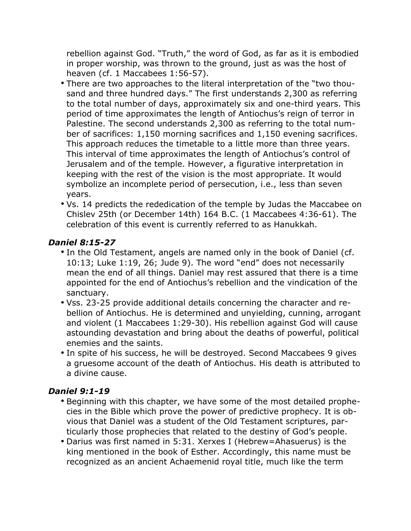rebellion against God. "Truth," the word of God, as far as it is embodied in proper worship, was thrown to the ground, just as was the host of heaven (cf. 1 Maccabees 1:56-57).

- There are two approaches to the literal interpretation of the "two thousand and three hundred days." The first understands 2,300 as referring to the total number of days, approximately six and one-third years. This period of time approximates the length of Antiochus's reign of terror in Palestine. The second understands 2,300 as referring to the total number of sacrifices: 1,150 morning sacrifices and 1,150 evening sacrifices. This approach reduces the timetable to a little more than three years. This interval of time approximates the length of Antiochus's control of Jerusalem and of the temple. However, a figurative interpretation in keeping with the rest of the vision is the most appropriate. It would symbolize an incomplete period of persecution, i.e., less than seven years.
- Vs. 14 predicts the rededication of the temple by Judas the Maccabee on Chislev 25th (or December 14th) 164 B.C. (1 Maccabees 4:36-61). The celebration of this event is currently referred to as Hanukkah.

## *Daniel 8:15-27*

- In the Old Testament, angels are named only in the book of Daniel (cf. 10:13; Luke 1:19, 26; Jude 9). The word "end" does not necessarily mean the end of all things. Daniel may rest assured that there is a time appointed for the end of Antiochus's rebellion and the vindication of the sanctuary.
- Vss. 23-25 provide additional details concerning the character and rebellion of Antiochus. He is determined and unyielding, cunning, arrogant and violent (1 Maccabees 1:29-30). His rebellion against God will cause astounding devastation and bring about the deaths of powerful, political enemies and the saints.
- In spite of his success, he will be destroyed. Second Maccabees 9 gives a gruesome account of the death of Antiochus. His death is attributed to a divine cause.

#### *Daniel 9:1-19*

- Beginning with this chapter, we have some of the most detailed prophecies in the Bible which prove the power of predictive prophecy. It is obvious that Daniel was a student of the Old Testament scriptures, particularly those prophecies that related to the destiny of God's people.
- Darius was first named in 5:31. Xerxes I (Hebrew=Ahasuerus) is the king mentioned in the book of Esther. Accordingly, this name must be recognized as an ancient Achaemenid royal title, much like the term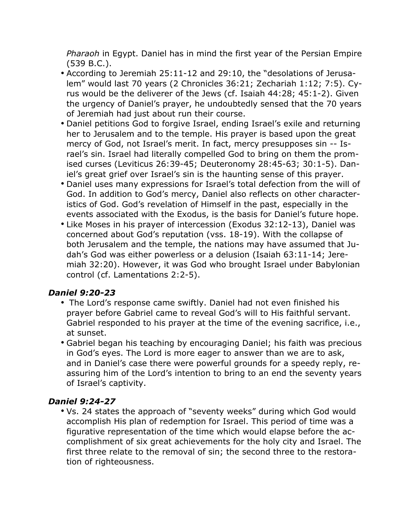*Pharaoh* in Egypt. Daniel has in mind the first year of the Persian Empire (539 B.C.).

- According to Jeremiah 25:11-12 and 29:10, the "desolations of Jerusalem" would last 70 years (2 Chronicles 36:21; Zechariah 1:12; 7:5). Cyrus would be the deliverer of the Jews (cf. Isaiah 44:28; 45:1-2). Given the urgency of Daniel's prayer, he undoubtedly sensed that the 70 years of Jeremiah had just about run their course.
- Daniel petitions God to forgive Israel, ending Israel's exile and returning her to Jerusalem and to the temple. His prayer is based upon the great mercy of God, not Israel's merit. In fact, mercy presupposes sin -- Israel's sin. Israel had literally compelled God to bring on them the promised curses (Leviticus 26:39-45; Deuteronomy 28:45-63; 30:1-5). Daniel's great grief over Israel's sin is the haunting sense of this prayer.
- Daniel uses many expressions for Israel's total defection from the will of God. In addition to God's mercy, Daniel also reflects on other characteristics of God. God's revelation of Himself in the past, especially in the events associated with the Exodus, is the basis for Daniel's future hope.
- Like Moses in his prayer of intercession (Exodus 32:12-13), Daniel was concerned about God's reputation (vss. 18-19). With the collapse of both Jerusalem and the temple, the nations may have assumed that Judah's God was either powerless or a delusion (Isaiah 63:11-14; Jeremiah 32:20). However, it was God who brought Israel under Babylonian control (cf. Lamentations 2:2-5).

# *Daniel 9:20-23*

- The Lord's response came swiftly. Daniel had not even finished his prayer before Gabriel came to reveal God's will to His faithful servant. Gabriel responded to his prayer at the time of the evening sacrifice, i.e., at sunset.
- Gabriel began his teaching by encouraging Daniel; his faith was precious in God's eyes. The Lord is more eager to answer than we are to ask, and in Daniel's case there were powerful grounds for a speedy reply, reassuring him of the Lord's intention to bring to an end the seventy years of Israel's captivity.

# *Daniel 9:24-27*

• Vs. 24 states the approach of "seventy weeks" during which God would accomplish His plan of redemption for Israel. This period of time was a figurative representation of the time which would elapse before the accomplishment of six great achievements for the holy city and Israel. The first three relate to the removal of sin; the second three to the restoration of righteousness.